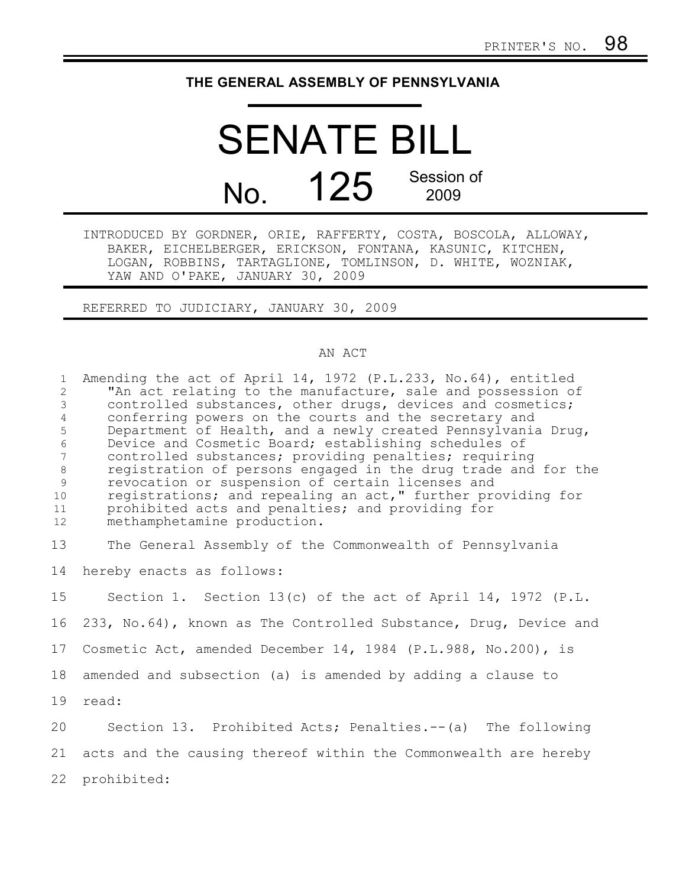## **THE GENERAL ASSEMBLY OF PENNSYLVANIA**

## SENATE BILL No. 125 Session of 2009

INTRODUCED BY GORDNER, ORIE, RAFFERTY, COSTA, BOSCOLA, ALLOWAY, BAKER, EICHELBERGER, ERICKSON, FONTANA, KASUNIC, KITCHEN, LOGAN, ROBBINS, TARTAGLIONE, TOMLINSON, D. WHITE, WOZNIAK, YAW AND O'PAKE, JANUARY 30, 2009

REFERRED TO JUDICIARY, JANUARY 30, 2009

## AN ACT

| $\mathbf{1}$<br>2<br>$\mathfrak{Z}$<br>$\overline{4}$<br>5<br>$\sqrt{6}$<br>$7\overline{ }$<br>$8\,$<br>$\overline{9}$<br>10<br>11<br>12 | Amending the act of April 14, 1972 (P.L.233, No.64), entitled<br>"An act relating to the manufacture, sale and possession of<br>controlled substances, other drugs, devices and cosmetics;<br>conferring powers on the courts and the secretary and<br>Department of Health, and a newly created Pennsylvania Drug,<br>Device and Cosmetic Board; establishing schedules of<br>controlled substances; providing penalties; requiring<br>registration of persons engaged in the drug trade and for the<br>revocation or suspension of certain licenses and<br>registrations; and repealing an act," further providing for<br>prohibited acts and penalties; and providing for<br>methamphetamine production. |
|------------------------------------------------------------------------------------------------------------------------------------------|-------------------------------------------------------------------------------------------------------------------------------------------------------------------------------------------------------------------------------------------------------------------------------------------------------------------------------------------------------------------------------------------------------------------------------------------------------------------------------------------------------------------------------------------------------------------------------------------------------------------------------------------------------------------------------------------------------------|
| 13                                                                                                                                       | The General Assembly of the Commonwealth of Pennsylvania                                                                                                                                                                                                                                                                                                                                                                                                                                                                                                                                                                                                                                                    |
| 14                                                                                                                                       | hereby enacts as follows:                                                                                                                                                                                                                                                                                                                                                                                                                                                                                                                                                                                                                                                                                   |
| 15 <sub>1</sub>                                                                                                                          | Section 1. Section 13(c) of the act of April 14, 1972 (P.L.                                                                                                                                                                                                                                                                                                                                                                                                                                                                                                                                                                                                                                                 |
| 16                                                                                                                                       | 233, No.64), known as The Controlled Substance, Drug, Device and                                                                                                                                                                                                                                                                                                                                                                                                                                                                                                                                                                                                                                            |
| 17                                                                                                                                       | Cosmetic Act, amended December 14, 1984 (P.L.988, No.200), is                                                                                                                                                                                                                                                                                                                                                                                                                                                                                                                                                                                                                                               |
| 18                                                                                                                                       | amended and subsection (a) is amended by adding a clause to                                                                                                                                                                                                                                                                                                                                                                                                                                                                                                                                                                                                                                                 |
| 19                                                                                                                                       | read:                                                                                                                                                                                                                                                                                                                                                                                                                                                                                                                                                                                                                                                                                                       |
| 20                                                                                                                                       | Section 13. Prohibited Acts; Penalties.--(a) The following                                                                                                                                                                                                                                                                                                                                                                                                                                                                                                                                                                                                                                                  |
| 21                                                                                                                                       | acts and the causing thereof within the Commonwealth are hereby                                                                                                                                                                                                                                                                                                                                                                                                                                                                                                                                                                                                                                             |
| 22                                                                                                                                       | prohibited:                                                                                                                                                                                                                                                                                                                                                                                                                                                                                                                                                                                                                                                                                                 |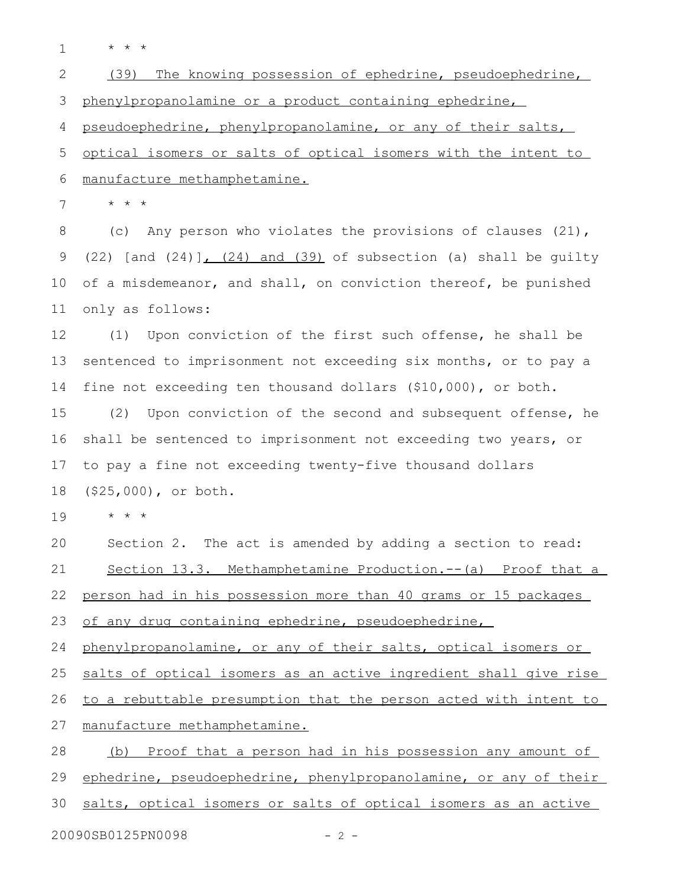\* \* \* 1

(39) The knowing possession of ephedrine, pseudoephedrine, phenylpropanolamine or a product containing ephedrine, 2 3

pseudoephedrine, phenylpropanolamine, or any of their salts, 4

optical isomers or salts of optical isomers with the intent to manufacture methamphetamine. 5 6

\* \* \* 7

(c) Any person who violates the provisions of clauses (21), (22) [and  $(24)$ ],  $(24)$  and  $(39)$  of subsection (a) shall be guilty of a misdemeanor, and shall, on conviction thereof, be punished only as follows: 8 9 10 11

(1) Upon conviction of the first such offense, he shall be sentenced to imprisonment not exceeding six months, or to pay a fine not exceeding ten thousand dollars (\$10,000), or both. 12 13 14

(2) Upon conviction of the second and subsequent offense, he shall be sentenced to imprisonment not exceeding two years, or to pay a fine not exceeding twenty-five thousand dollars (\$25,000), or both. 15 16 17 18

\* \* \* 19

Section 2. The act is amended by adding a section to read: Section 13.3. Methamphetamine Production.--(a) Proof that a person had in his possession more than 40 grams or 15 packages 20 21 22

of any drug containing ephedrine, pseudoephedrine, 23

phenylpropanolamine, or any of their salts, optical isomers or 24

salts of optical isomers as an active ingredient shall give rise 25

to a rebuttable presumption that the person acted with intent to 26

manufacture methamphetamine. 27

(b) Proof that a person had in his possession any amount of ephedrine, pseudoephedrine, phenylpropanolamine, or any of their salts, optical isomers or salts of optical isomers as an active 28 29 30

20090SB0125PN0098 - 2 -